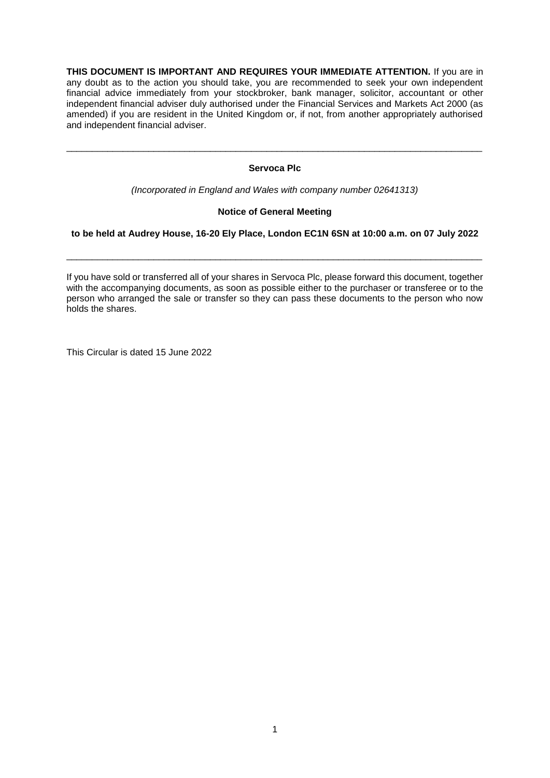**THIS DOCUMENT IS IMPORTANT AND REQUIRES YOUR IMMEDIATE ATTENTION.** If you are in any doubt as to the action you should take, you are recommended to seek your own independent financial advice immediately from your stockbroker, bank manager, solicitor, accountant or other independent financial adviser duly authorised under the Financial Services and Markets Act 2000 (as amended) if you are resident in the United Kingdom or, if not, from another appropriately authorised and independent financial adviser.

## **Servoca Plc**

\_\_\_\_\_\_\_\_\_\_\_\_\_\_\_\_\_\_\_\_\_\_\_\_\_\_\_\_\_\_\_\_\_\_\_\_\_\_\_\_\_\_\_\_\_\_\_\_\_\_\_\_\_\_\_\_\_\_\_\_\_\_\_\_\_\_\_\_\_\_\_\_\_\_\_\_\_\_\_\_\_

*(Incorporated in England and Wales with company number 02641313)*

## **Notice of General Meeting**

## **to be held at Audrey House, 16-20 Ely Place, London EC1N 6SN at 10:00 a.m. on 07 July 2022**

\_\_\_\_\_\_\_\_\_\_\_\_\_\_\_\_\_\_\_\_\_\_\_\_\_\_\_\_\_\_\_\_\_\_\_\_\_\_\_\_\_\_\_\_\_\_\_\_\_\_\_\_\_\_\_\_\_\_\_\_\_\_\_\_\_\_\_\_\_\_\_\_\_\_\_\_\_\_\_\_\_

If you have sold or transferred all of your shares in Servoca Plc, please forward this document, together with the accompanying documents, as soon as possible either to the purchaser or transferee or to the person who arranged the sale or transfer so they can pass these documents to the person who now holds the shares.

This Circular is dated 15 June 2022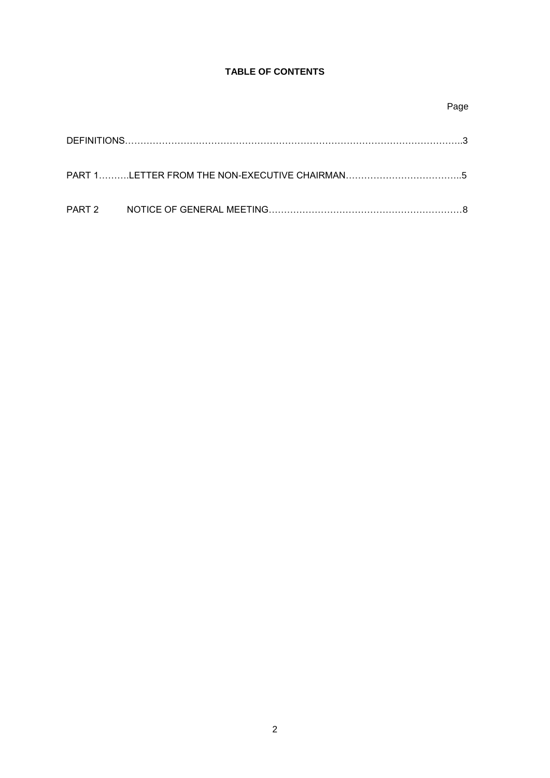# **TABLE OF CONTENTS**

|  | Page |
|--|------|
|  |      |
|  |      |
|  |      |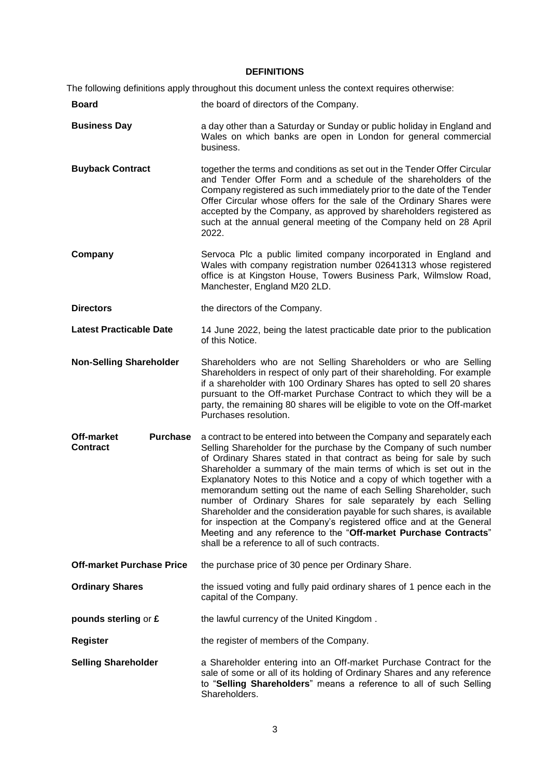#### **DEFINITIONS**

The following definitions apply throughout this document unless the context requires otherwise:

- **Board Example 2018 the board of directors of the Company. Business Day a** a day other than a Saturday or Sunday or public holiday in England and Wales on which banks are open in London for general commercial business.
- **Buyback Contract** together the terms and conditions as set out in the Tender Offer Circular and Tender Offer Form and a schedule of the shareholders of the Company registered as such immediately prior to the date of the Tender Offer Circular whose offers for the sale of the Ordinary Shares were accepted by the Company, as approved by shareholders registered as such at the annual general meeting of the Company held on 28 April 2022.
- **Company** Servoca Plc a public limited company incorporated in England and Wales with company registration number 02641313 whose registered office is at Kingston House, Towers Business Park, Wilmslow Road, Manchester, England M20 2LD.
- **Directors** the directors of the Company.

**Latest Practicable Date** 14 June 2022, being the latest practicable date prior to the publication of this Notice.

- **Non-Selling Shareholder** Shareholders who are not Selling Shareholders or who are Selling Shareholders in respect of only part of their shareholding. For example if a shareholder with 100 Ordinary Shares has opted to sell 20 shares pursuant to the Off-market Purchase Contract to which they will be a party, the remaining 80 shares will be eligible to vote on the Off-market Purchases resolution.
- **Off-market Purchase Contract** a contract to be entered into between the Company and separately each Selling Shareholder for the purchase by the Company of such number of Ordinary Shares stated in that contract as being for sale by such Shareholder a summary of the main terms of which is set out in the Explanatory Notes to this Notice and a copy of which together with a memorandum setting out the name of each Selling Shareholder, such number of Ordinary Shares for sale separately by each Selling Shareholder and the consideration payable for such shares, is available for inspection at the Company's registered office and at the General Meeting and any reference to the "**Off-market Purchase Contracts**" shall be a reference to all of such contracts.
- **Off-market Purchase Price** the purchase price of 30 pence per Ordinary Share.
- **Ordinary Shares** the issued voting and fully paid ordinary shares of 1 pence each in the capital of the Company.
- **pounds sterling or £** the lawful currency of the United Kingdom.
- **Register** the register of members of the Company.
- **Selling Shareholder** a Shareholder entering into an Off-market Purchase Contract for the sale of some or all of its holding of Ordinary Shares and any reference to "**Selling Shareholders**" means a reference to all of such Selling **Shareholders**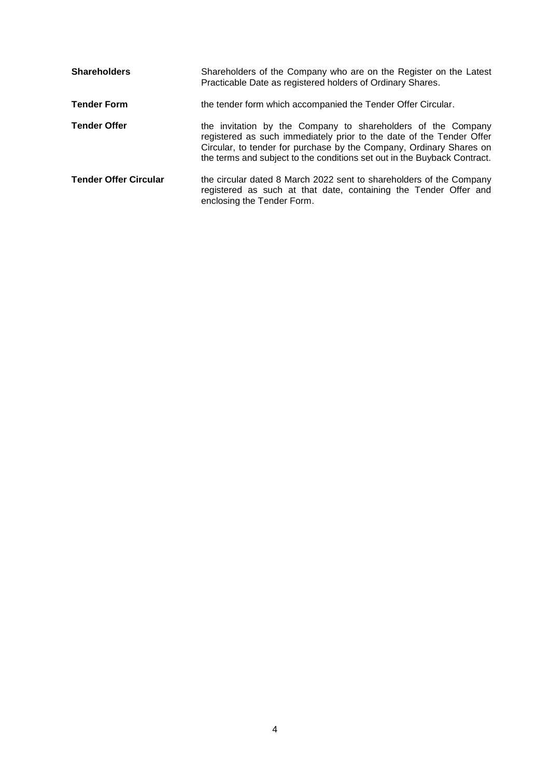| <b>Shareholders</b>          | Shareholders of the Company who are on the Register on the Latest<br>Practicable Date as registered holders of Ordinary Shares.                                                                                                                                                         |
|------------------------------|-----------------------------------------------------------------------------------------------------------------------------------------------------------------------------------------------------------------------------------------------------------------------------------------|
| <b>Tender Form</b>           | the tender form which accompanied the Tender Offer Circular.                                                                                                                                                                                                                            |
| <b>Tender Offer</b>          | the invitation by the Company to shareholders of the Company<br>registered as such immediately prior to the date of the Tender Offer<br>Circular, to tender for purchase by the Company, Ordinary Shares on<br>the terms and subject to the conditions set out in the Buyback Contract. |
| <b>Tender Offer Circular</b> | the circular dated 8 March 2022 sent to shareholders of the Company<br>registered as such at that date, containing the Tender Offer and<br>enclosing the Tender Form.                                                                                                                   |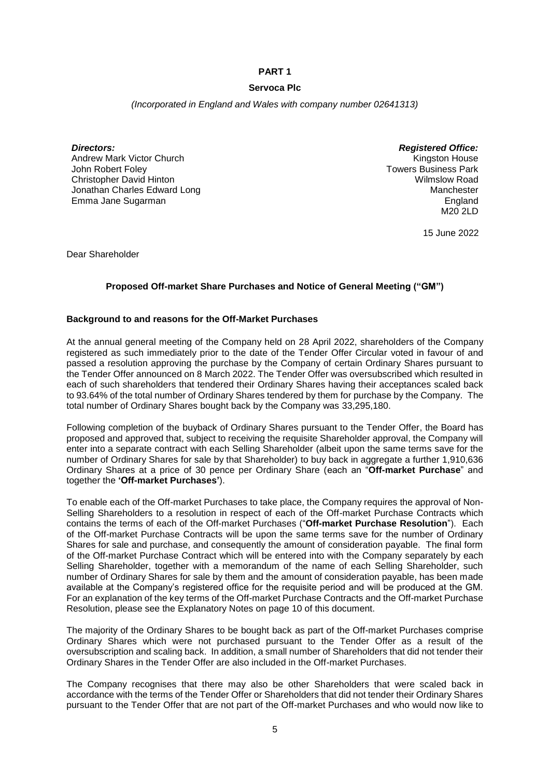## **PART 1**

## **Servoca Plc**

*(Incorporated in England and Wales with company number 02641313)*

*Directors: Registered Office:* Andrew Mark Victor Church John Robert Foley Christopher David Hinton Jonathan Charles Edward Long Emma Jane Sugarman

Kingston House Towers Business Park Wilmslow Road **Manchester England** M20 2LD

15 June 2022

Dear Shareholder

## **Proposed Off-market Share Purchases and Notice of General Meeting ("GM")**

### **Background to and reasons for the Off-Market Purchases**

At the annual general meeting of the Company held on 28 April 2022, shareholders of the Company registered as such immediately prior to the date of the Tender Offer Circular voted in favour of and passed a resolution approving the purchase by the Company of certain Ordinary Shares pursuant to the Tender Offer announced on 8 March 2022. The Tender Offer was oversubscribed which resulted in each of such shareholders that tendered their Ordinary Shares having their acceptances scaled back to 93.64% of the total number of Ordinary Shares tendered by them for purchase by the Company. The total number of Ordinary Shares bought back by the Company was 33,295,180.

Following completion of the buyback of Ordinary Shares pursuant to the Tender Offer, the Board has proposed and approved that, subject to receiving the requisite Shareholder approval, the Company will enter into a separate contract with each Selling Shareholder (albeit upon the same terms save for the number of Ordinary Shares for sale by that Shareholder) to buy back in aggregate a further 1,910,636 Ordinary Shares at a price of 30 pence per Ordinary Share (each an "**Off-market Purchase**" and together the **'Off-market Purchases'**).

To enable each of the Off-market Purchases to take place, the Company requires the approval of Non-Selling Shareholders to a resolution in respect of each of the Off-market Purchase Contracts which contains the terms of each of the Off-market Purchases ("**Off-market Purchase Resolution**"). Each of the Off-market Purchase Contracts will be upon the same terms save for the number of Ordinary Shares for sale and purchase, and consequently the amount of consideration payable. The final form of the Off-market Purchase Contract which will be entered into with the Company separately by each Selling Shareholder, together with a memorandum of the name of each Selling Shareholder, such number of Ordinary Shares for sale by them and the amount of consideration payable, has been made available at the Company's registered office for the requisite period and will be produced at the GM. For an explanation of the key terms of the Off-market Purchase Contracts and the Off-market Purchase Resolution, please see the Explanatory Notes on page 10 of this document.

The majority of the Ordinary Shares to be bought back as part of the Off-market Purchases comprise Ordinary Shares which were not purchased pursuant to the Tender Offer as a result of the oversubscription and scaling back. In addition, a small number of Shareholders that did not tender their Ordinary Shares in the Tender Offer are also included in the Off-market Purchases.

The Company recognises that there may also be other Shareholders that were scaled back in accordance with the terms of the Tender Offer or Shareholders that did not tender their Ordinary Shares pursuant to the Tender Offer that are not part of the Off-market Purchases and who would now like to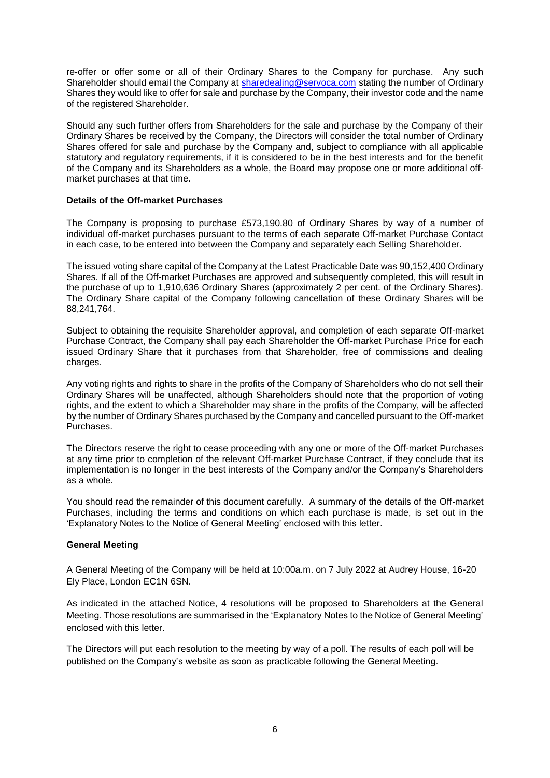re-offer or offer some or all of their Ordinary Shares to the Company for purchase. Any such Shareholder should email the Company at [sharedealing@servoca.com](mailto:sharedealing@servoca.com) stating the number of Ordinary Shares they would like to offer for sale and purchase by the Company, their investor code and the name of the registered Shareholder.

Should any such further offers from Shareholders for the sale and purchase by the Company of their Ordinary Shares be received by the Company, the Directors will consider the total number of Ordinary Shares offered for sale and purchase by the Company and, subject to compliance with all applicable statutory and regulatory requirements, if it is considered to be in the best interests and for the benefit of the Company and its Shareholders as a whole, the Board may propose one or more additional offmarket purchases at that time.

### **Details of the Off-market Purchases**

The Company is proposing to purchase £573,190.80 of Ordinary Shares by way of a number of individual off-market purchases pursuant to the terms of each separate Off-market Purchase Contact in each case, to be entered into between the Company and separately each Selling Shareholder.

The issued voting share capital of the Company at the Latest Practicable Date was 90,152,400 Ordinary Shares. If all of the Off-market Purchases are approved and subsequently completed, this will result in the purchase of up to 1,910,636 Ordinary Shares (approximately 2 per cent. of the Ordinary Shares). The Ordinary Share capital of the Company following cancellation of these Ordinary Shares will be 88,241,764.

Subject to obtaining the requisite Shareholder approval, and completion of each separate Off-market Purchase Contract, the Company shall pay each Shareholder the Off-market Purchase Price for each issued Ordinary Share that it purchases from that Shareholder, free of commissions and dealing charges.

Any voting rights and rights to share in the profits of the Company of Shareholders who do not sell their Ordinary Shares will be unaffected, although Shareholders should note that the proportion of voting rights, and the extent to which a Shareholder may share in the profits of the Company, will be affected by the number of Ordinary Shares purchased by the Company and cancelled pursuant to the Off-market Purchases.

The Directors reserve the right to cease proceeding with any one or more of the Off-market Purchases at any time prior to completion of the relevant Off-market Purchase Contract, if they conclude that its implementation is no longer in the best interests of the Company and/or the Company's Shareholders as a whole.

You should read the remainder of this document carefully. A summary of the details of the Off-market Purchases, including the terms and conditions on which each purchase is made, is set out in the 'Explanatory Notes to the Notice of General Meeting' enclosed with this letter.

## **General Meeting**

A General Meeting of the Company will be held at 10:00a.m. on 7 July 2022 at Audrey House, 16-20 Ely Place, London EC1N 6SN.

As indicated in the attached Notice, 4 resolutions will be proposed to Shareholders at the General Meeting. Those resolutions are summarised in the 'Explanatory Notes to the Notice of General Meeting' enclosed with this letter.

The Directors will put each resolution to the meeting by way of a poll. The results of each poll will be published on the Company's website as soon as practicable following the General Meeting.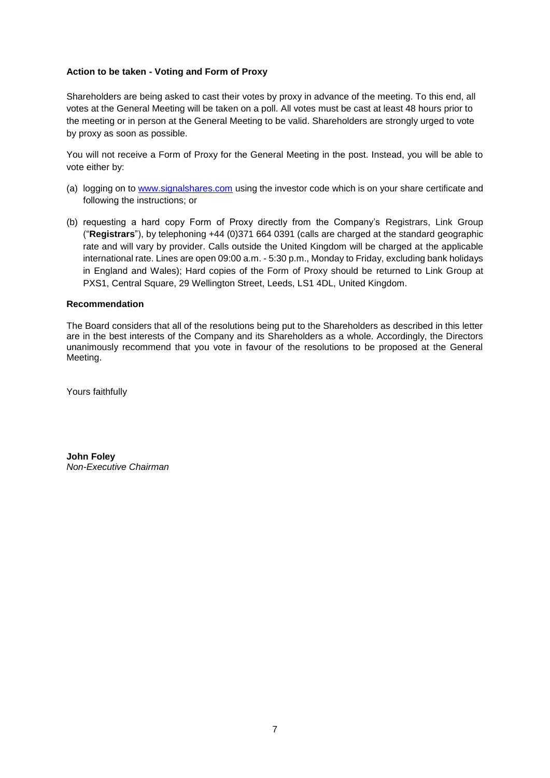## **Action to be taken - Voting and Form of Proxy**

Shareholders are being asked to cast their votes by proxy in advance of the meeting. To this end, all votes at the General Meeting will be taken on a poll. All votes must be cast at least 48 hours prior to the meeting or in person at the General Meeting to be valid. Shareholders are strongly urged to vote by proxy as soon as possible.

You will not receive a Form of Proxy for the General Meeting in the post. Instead, you will be able to vote either by:

- (a) logging on to [www.signalshares.com](http://www.signalshares.com/) using the investor code which is on your share certificate and following the instructions; or
- (b) requesting a hard copy Form of Proxy directly from the Company's Registrars, Link Group ("**Registrars**"), by telephoning +44 (0)371 664 0391 (calls are charged at the standard geographic rate and will vary by provider. Calls outside the United Kingdom will be charged at the applicable international rate. Lines are open 09:00 a.m. - 5:30 p.m., Monday to Friday, excluding bank holidays in England and Wales); Hard copies of the Form of Proxy should be returned to Link Group at PXS1, Central Square, 29 Wellington Street, Leeds, LS1 4DL, United Kingdom.

### **Recommendation**

The Board considers that all of the resolutions being put to the Shareholders as described in this letter are in the best interests of the Company and its Shareholders as a whole. Accordingly, the Directors unanimously recommend that you vote in favour of the resolutions to be proposed at the General Meeting.

Yours faithfully

**John Foley** *Non-Executive Chairman*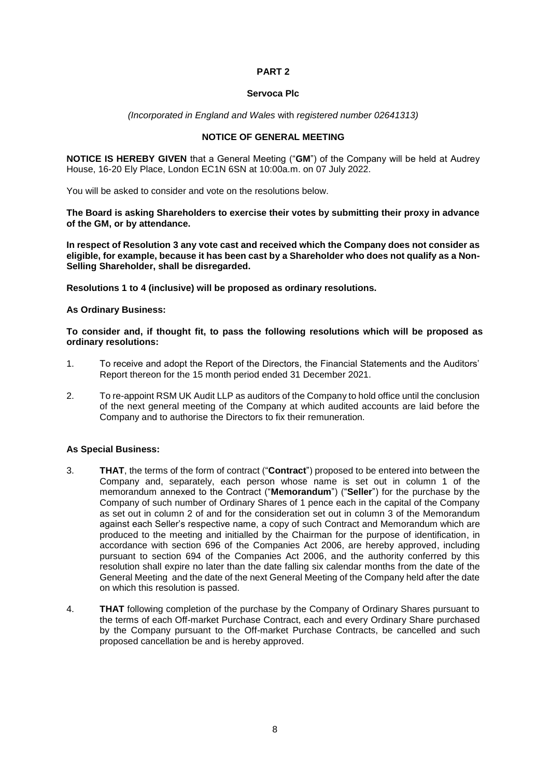## **PART 2**

#### **Servoca Plc**

#### *(Incorporated in England and Wales* with *registered number 02641313)*

## **NOTICE OF GENERAL MEETING**

**NOTICE IS HEREBY GIVEN** that a General Meeting ("**GM**") of the Company will be held at Audrey House, 16-20 Ely Place, London EC1N 6SN at 10:00a.m. on 07 July 2022.

You will be asked to consider and vote on the resolutions below.

**The Board is asking Shareholders to exercise their votes by submitting their proxy in advance of the GM, or by attendance.** 

**In respect of Resolution 3 any vote cast and received which the Company does not consider as eligible, for example, because it has been cast by a Shareholder who does not qualify as a Non-Selling Shareholder, shall be disregarded.** 

**Resolutions 1 to 4 (inclusive) will be proposed as ordinary resolutions.**

#### **As Ordinary Business:**

**To consider and, if thought fit, to pass the following resolutions which will be proposed as ordinary resolutions:**

- 1. To receive and adopt the Report of the Directors, the Financial Statements and the Auditors' Report thereon for the 15 month period ended 31 December 2021.
- 2. To re-appoint RSM UK Audit LLP as auditors of the Company to hold office until the conclusion of the next general meeting of the Company at which audited accounts are laid before the Company and to authorise the Directors to fix their remuneration.

### **As Special Business:**

- 3. **THAT**, the terms of the form of contract ("**Contract**") proposed to be entered into between the Company and, separately, each person whose name is set out in column 1 of the memorandum annexed to the Contract ("**Memorandum**") ("**Seller**") for the purchase by the Company of such number of Ordinary Shares of 1 pence each in the capital of the Company as set out in column 2 of and for the consideration set out in column 3 of the Memorandum against each Seller's respective name, a copy of such Contract and Memorandum which are produced to the meeting and initialled by the Chairman for the purpose of identification, in accordance with section 696 of the Companies Act 2006, are hereby approved, including pursuant to section 694 of the Companies Act 2006, and the authority conferred by this resolution shall expire no later than the date falling six calendar months from the date of the General Meeting and the date of the next General Meeting of the Company held after the date on which this resolution is passed.
- 4. **THAT** following completion of the purchase by the Company of Ordinary Shares pursuant to the terms of each Off-market Purchase Contract, each and every Ordinary Share purchased by the Company pursuant to the Off-market Purchase Contracts, be cancelled and such proposed cancellation be and is hereby approved.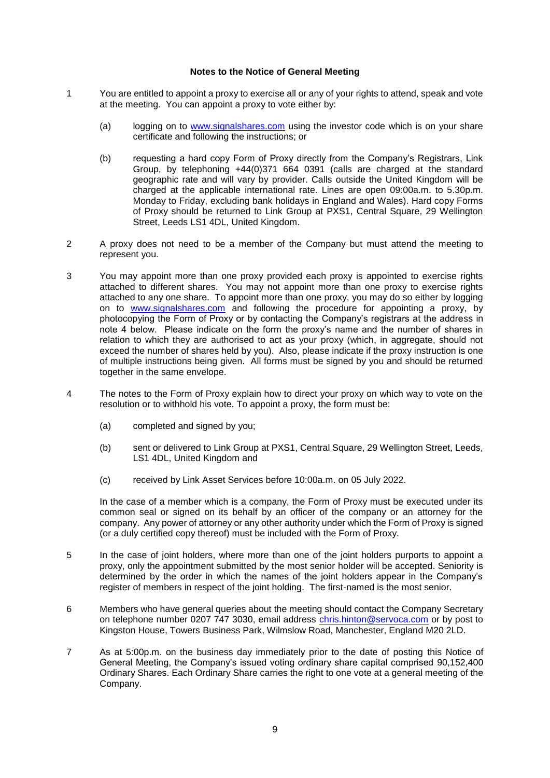#### **Notes to the Notice of General Meeting**

- 1 You are entitled to appoint a proxy to exercise all or any of your rights to attend, speak and vote at the meeting. You can appoint a proxy to vote either by:
	- (a) logging on to [www.signalshares.com](http://www.signalshares.com/) using the investor code which is on your share certificate and following the instructions; or
	- (b) requesting a hard copy Form of Proxy directly from the Company's Registrars, Link Group, by telephoning +44(0)371 664 0391 (calls are charged at the standard geographic rate and will vary by provider. Calls outside the United Kingdom will be charged at the applicable international rate. Lines are open 09:00a.m. to 5.30p.m. Monday to Friday, excluding bank holidays in England and Wales). Hard copy Forms of Proxy should be returned to Link Group at PXS1, Central Square, 29 Wellington Street, Leeds LS1 4DL, United Kingdom.
- 2 A proxy does not need to be a member of the Company but must attend the meeting to represent you.
- 3 You may appoint more than one proxy provided each proxy is appointed to exercise rights attached to different shares. You may not appoint more than one proxy to exercise rights attached to any one share. To appoint more than one proxy, you may do so either by logging on to [www.signalshares.com](http://www.signalshares.com/) and following the procedure for appointing a proxy, by photocopying the Form of Proxy or by contacting the Company's registrars at the address in note 4 below. Please indicate on the form the proxy's name and the number of shares in relation to which they are authorised to act as your proxy (which, in aggregate, should not exceed the number of shares held by you). Also, please indicate if the proxy instruction is one of multiple instructions being given. All forms must be signed by you and should be returned together in the same envelope.
- 4 The notes to the Form of Proxy explain how to direct your proxy on which way to vote on the resolution or to withhold his vote. To appoint a proxy, the form must be:
	- (a) completed and signed by you;
	- (b) sent or delivered to Link Group at PXS1, Central Square, 29 Wellington Street, Leeds, LS1 4DL, United Kingdom and
	- (c) received by Link Asset Services before 10:00a.m. on 05 July 2022.

In the case of a member which is a company, the Form of Proxy must be executed under its common seal or signed on its behalf by an officer of the company or an attorney for the company. Any power of attorney or any other authority under which the Form of Proxy is signed (or a duly certified copy thereof) must be included with the Form of Proxy.

- 5 In the case of joint holders, where more than one of the joint holders purports to appoint a proxy, only the appointment submitted by the most senior holder will be accepted. Seniority is determined by the order in which the names of the joint holders appear in the Company's register of members in respect of the joint holding. The first-named is the most senior.
- 6 Members who have general queries about the meeting should contact the Company Secretary on telephone number 0207 747 3030, email address [chris.hinton@servoca.com](mailto:chris.hinton@servoca.com) or by post to Kingston House, Towers Business Park, Wilmslow Road, Manchester, England M20 2LD.
- 7 As at 5:00p.m. on the business day immediately prior to the date of posting this Notice of General Meeting, the Company's issued voting ordinary share capital comprised 90,152,400 Ordinary Shares. Each Ordinary Share carries the right to one vote at a general meeting of the Company.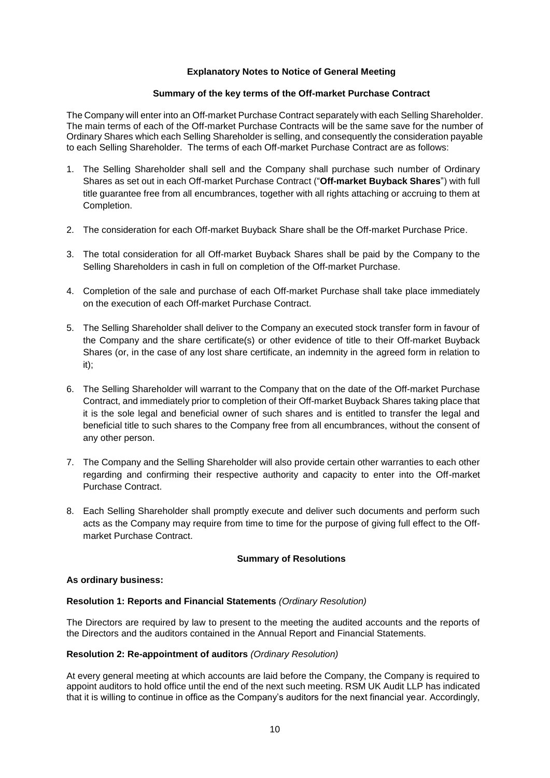## **Explanatory Notes to Notice of General Meeting**

### **Summary of the key terms of the Off-market Purchase Contract**

The Company will enter into an Off-market Purchase Contract separately with each Selling Shareholder. The main terms of each of the Off-market Purchase Contracts will be the same save for the number of Ordinary Shares which each Selling Shareholder is selling, and consequently the consideration payable to each Selling Shareholder. The terms of each Off-market Purchase Contract are as follows:

- 1. The Selling Shareholder shall sell and the Company shall purchase such number of Ordinary Shares as set out in each Off-market Purchase Contract ("**Off-market Buyback Shares**") with full title guarantee free from all encumbrances, together with all rights attaching or accruing to them at Completion.
- 2. The consideration for each Off-market Buyback Share shall be the Off-market Purchase Price.
- 3. The total consideration for all Off-market Buyback Shares shall be paid by the Company to the Selling Shareholders in cash in full on completion of the Off-market Purchase.
- 4. Completion of the sale and purchase of each Off-market Purchase shall take place immediately on the execution of each Off-market Purchase Contract.
- 5. The Selling Shareholder shall deliver to the Company an executed stock transfer form in favour of the Company and the share certificate(s) or other evidence of title to their Off-market Buyback Shares (or, in the case of any lost share certificate, an indemnity in the agreed form in relation to it);
- 6. The Selling Shareholder will warrant to the Company that on the date of the Off-market Purchase Contract, and immediately prior to completion of their Off-market Buyback Shares taking place that it is the sole legal and beneficial owner of such shares and is entitled to transfer the legal and beneficial title to such shares to the Company free from all encumbrances, without the consent of any other person.
- 7. The Company and the Selling Shareholder will also provide certain other warranties to each other regarding and confirming their respective authority and capacity to enter into the Off-market Purchase Contract.
- 8. Each Selling Shareholder shall promptly execute and deliver such documents and perform such acts as the Company may require from time to time for the purpose of giving full effect to the Offmarket Purchase Contract.

#### **Summary of Resolutions**

#### **As ordinary business:**

#### **Resolution 1: Reports and Financial Statements** *(Ordinary Resolution)*

The Directors are required by law to present to the meeting the audited accounts and the reports of the Directors and the auditors contained in the Annual Report and Financial Statements.

### **Resolution 2: Re-appointment of auditors** *(Ordinary Resolution)*

At every general meeting at which accounts are laid before the Company, the Company is required to appoint auditors to hold office until the end of the next such meeting. RSM UK Audit LLP has indicated that it is willing to continue in office as the Company's auditors for the next financial year. Accordingly,